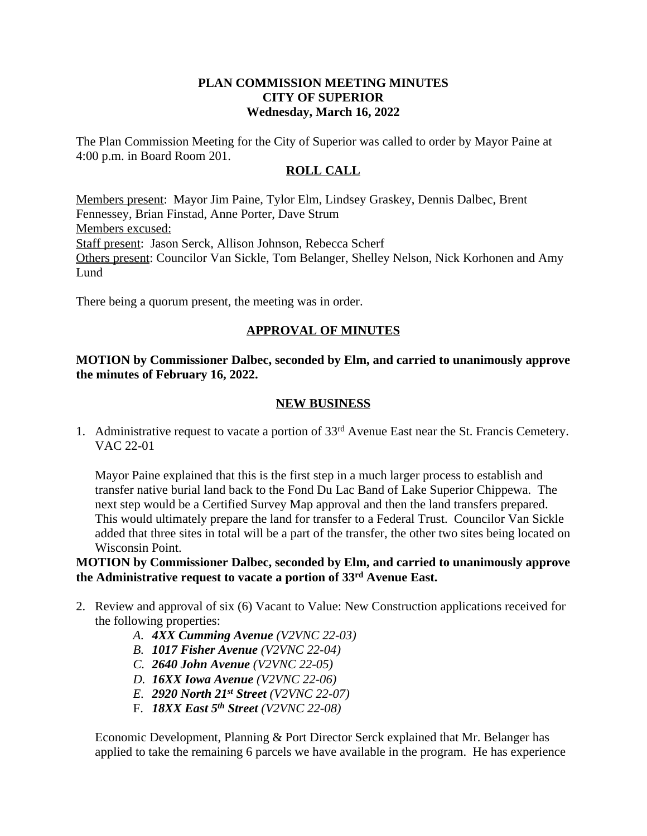## **PLAN COMMISSION MEETING MINUTES CITY OF SUPERIOR Wednesday, March 16, 2022**

The Plan Commission Meeting for the City of Superior was called to order by Mayor Paine at 4:00 p.m. in Board Room 201.

## **ROLL CALL**

Members present: Mayor Jim Paine, Tylor Elm, Lindsey Graskey, Dennis Dalbec, Brent Fennessey, Brian Finstad, Anne Porter, Dave Strum Members excused: Staff present: Jason Serck, Allison Johnson, Rebecca Scherf Others present: Councilor Van Sickle, Tom Belanger, Shelley Nelson, Nick Korhonen and Amy Lund

There being a quorum present, the meeting was in order.

# **APPROVAL OF MINUTES**

#### **MOTION by Commissioner Dalbec, seconded by Elm, and carried to unanimously approve the minutes of February 16, 2022.**

## **NEW BUSINESS**

1. Administrative request to vacate a portion of 33<sup>rd</sup> Avenue East near the St. Francis Cemetery. VAC 22-01

Mayor Paine explained that this is the first step in a much larger process to establish and transfer native burial land back to the Fond Du Lac Band of Lake Superior Chippewa. The next step would be a Certified Survey Map approval and then the land transfers prepared. This would ultimately prepare the land for transfer to a Federal Trust. Councilor Van Sickle added that three sites in total will be a part of the transfer, the other two sites being located on Wisconsin Point.

### **MOTION by Commissioner Dalbec, seconded by Elm, and carried to unanimously approve the Administrative request to vacate a portion of 33rd Avenue East.**

- 2. Review and approval of six (6) Vacant to Value: New Construction applications received for the following properties:
	- *A. 4XX Cumming Avenue (V2VNC 22-03)*
	- *B. 1017 Fisher Avenue (V2VNC 22-04)*
	- *C. 2640 John Avenue (V2VNC 22-05)*
	- *D. 16XX Iowa Avenue (V2VNC 22-06)*
	- *E. 2920 North 21st Street (V2VNC 22-07)*
	- F. *18XX East 5th Street (V2VNC 22-08)*

Economic Development, Planning & Port Director Serck explained that Mr. Belanger has applied to take the remaining 6 parcels we have available in the program. He has experience